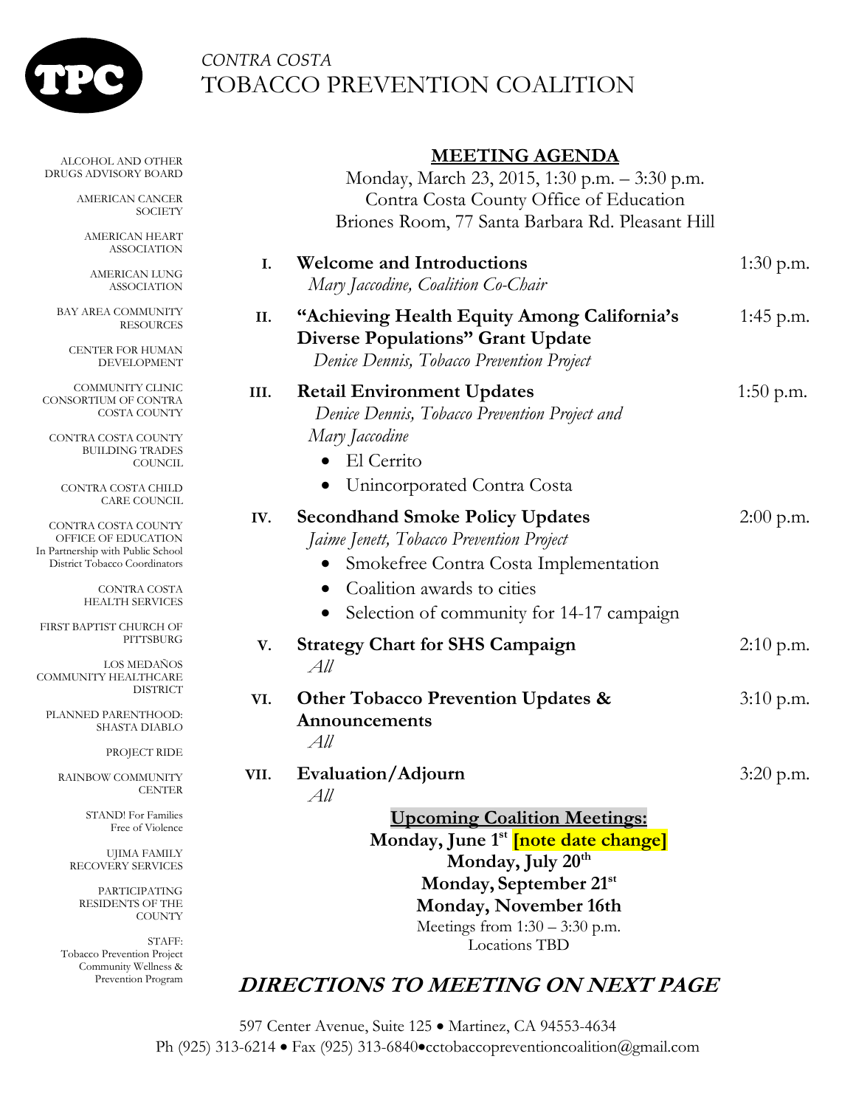

Prevention Program

## *CONTRA COSTA*  TOBACCO PREVENTION COALITION

| <b>MEETING AGENDA</b> |  |
|-----------------------|--|
|-----------------------|--|

| ALCOHOL AND OTHER<br>DRUGS ADVISORY BOARD                                                                               |      | <b>MEETING AGENDA</b><br>Monday, March 23, 2015, 1:30 p.m. - 3:30 p.m.                                                               |             |
|-------------------------------------------------------------------------------------------------------------------------|------|--------------------------------------------------------------------------------------------------------------------------------------|-------------|
| AMERICAN CANCER<br><b>SOCIETY</b>                                                                                       |      | Contra Costa County Office of Education<br>Briones Room, 77 Santa Barbara Rd. Pleasant Hill                                          |             |
| AMERICAN HEART<br>ASSOCIATION                                                                                           | I.   | <b>Welcome and Introductions</b>                                                                                                     | $1:30$ p.m. |
| AMERICAN LUNG<br>ASSOCIATION                                                                                            |      | Mary Jaccodine, Coalition Co-Chair                                                                                                   |             |
| <b>BAY AREA COMMUNITY</b><br>RESOURCES<br><b>CENTER FOR HUMAN</b><br>DEVELOPMENT                                        | II.  | "Achieving Health Equity Among California's<br><b>Diverse Populations" Grant Update</b><br>Denice Dennis, Tobacco Prevention Project | 1:45 p.m.   |
| COMMUNITY CLINIC<br>CONSORTIUM OF CONTRA<br>COSTA COUNTY                                                                | III. | <b>Retail Environment Updates</b><br>Denice Dennis, Tobacco Prevention Project and                                                   | $1:50$ p.m. |
| CONTRA COSTA COUNTY<br><b>BUILDING TRADES</b><br><b>COUNCIL</b>                                                         |      | Mary Jaccodine<br>El Cerrito<br>$\bullet$                                                                                            |             |
| CONTRA COSTA CHILD<br><b>CARE COUNCIL</b>                                                                               |      | Unincorporated Contra Costa<br>$\bullet$                                                                                             |             |
| CONTRA COSTA COUNTY<br>OFFICE OF EDUCATION<br>In Partnership with Public School<br><b>District Tobacco Coordinators</b> | IV.  | <b>Secondhand Smoke Policy Updates</b><br>Jaime Jenett, Tobacco Prevention Project<br>Smokefree Contra Costa Implementation          | $2:00$ p.m. |
| CONTRA COSTA<br>HEALTH SERVICES                                                                                         |      | Coalition awards to cities<br>Selection of community for 14-17 campaign<br>$\bullet$                                                 |             |
| FIRST BAPTIST CHURCH OF<br>PITTSBURG                                                                                    | V.   | <b>Strategy Chart for SHS Campaign</b>                                                                                               | $2:10$ p.m. |
| <b>LOS MEDANOS</b><br>COMMUNITY HEALTHCARE<br><b>DISTRICT</b>                                                           |      | All<br><b>Other Tobacco Prevention Updates &amp;</b>                                                                                 | $3:10$ p.m. |
| PLANNED PARENTHOOD:<br>SHASTA DIABLO                                                                                    | VI.  | Announcements<br>All                                                                                                                 |             |
| PROJECT RIDE                                                                                                            | VII. |                                                                                                                                      |             |
| RAINBOW COMMUNITY<br><b>CENTER</b>                                                                                      |      | Evaluation/Adjourn<br>All                                                                                                            | 3:20 p.m.   |
| <b>STAND!</b> For Families<br>Free of Violence                                                                          |      | <b>Upcoming Coalition Meetings:</b><br>Monday, June 1 <sup>st</sup> <i>[note date change]</i>                                        |             |
| UJIMA FAMILY<br>RECOVERY SERVICES                                                                                       |      | Monday, July 20 <sup>th</sup>                                                                                                        |             |
| PARTICIPATING<br><b>RESIDENTS OF THE</b><br><b>COUNTY</b>                                                               |      | Monday, September 21st<br>Monday, November 16th<br>Meetings from $1:30 - 3:30$ p.m.                                                  |             |
| STAFF:<br>Tobacco Prevention Project<br>Community Wellness &                                                            |      | Locations TBD                                                                                                                        |             |

### **DIRECTIONS TO MEETING ON NEXT PAGE**

597 Center Avenue, Suite 125 · Martinez, CA 94553-4634 Ph (925) 313-6214 · Fax (925) 313-6840 • cctobaccopreventioncoalition@gmail.com